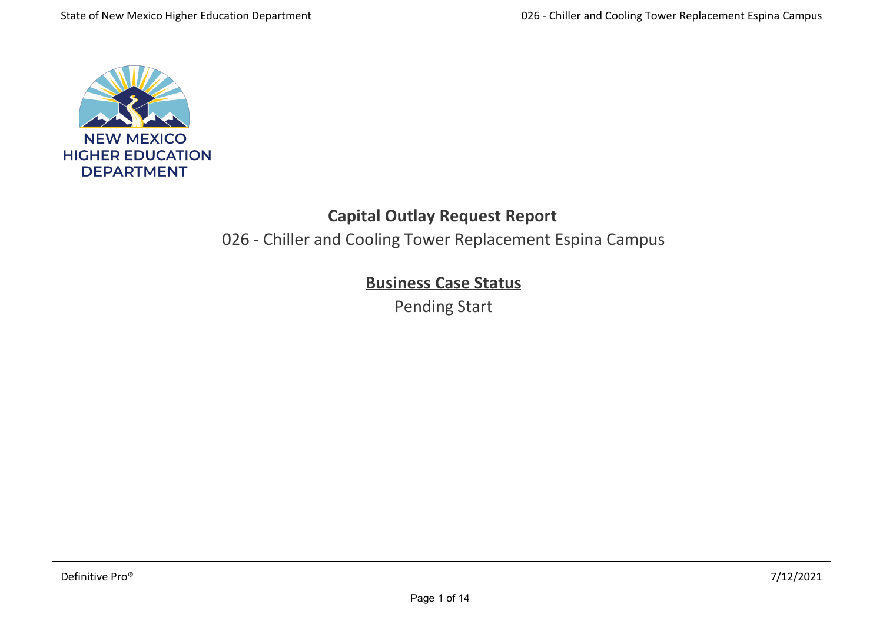

# **Capital Outlay Request Report**

026 ‐ Chiller and Cooling Tower Replacement Espina Campus

# **Business Case Status**

Pending Start

**Renovation Information** See current conditions of the infrastructure listed above.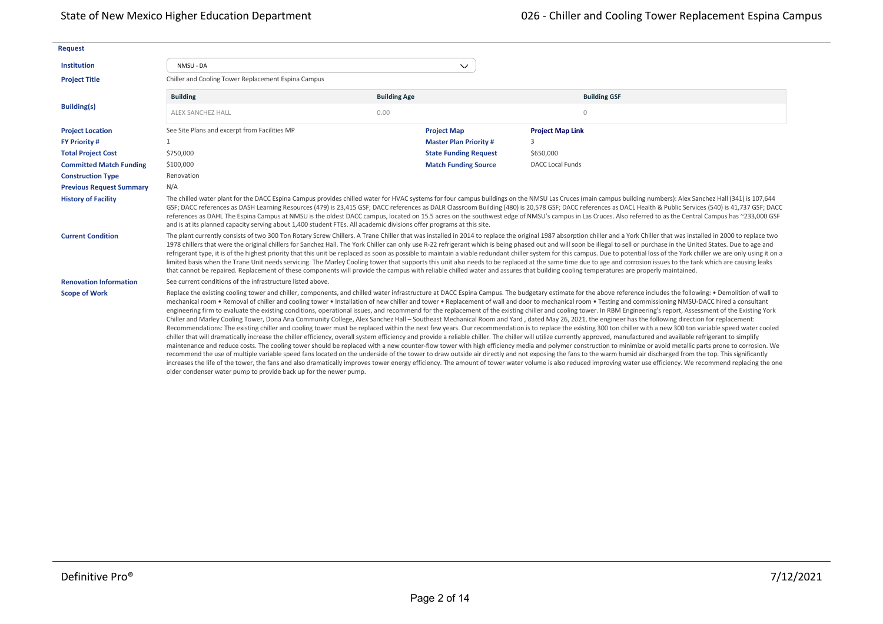| <b>Request</b>                  |                                                                                                                                                                                                                                                                                                                                                                                                                                                                                                                                                                                                                                                                                                                                                                                                                                                                                                                                                                                                                                                                                                          |                     |                              |                                                                                                                                                                                                                                                                                                                                                                                                                                                                                                                                                                                                                                                                                                                                                                                                                                                                                                                                                                                                                                                                                                                                                                                                                                                                                                                                                                                                                                                                                                                                                                                                                                                                                                                                                                                                                                                                                                                                                                            |  |  |  |  |
|---------------------------------|----------------------------------------------------------------------------------------------------------------------------------------------------------------------------------------------------------------------------------------------------------------------------------------------------------------------------------------------------------------------------------------------------------------------------------------------------------------------------------------------------------------------------------------------------------------------------------------------------------------------------------------------------------------------------------------------------------------------------------------------------------------------------------------------------------------------------------------------------------------------------------------------------------------------------------------------------------------------------------------------------------------------------------------------------------------------------------------------------------|---------------------|------------------------------|----------------------------------------------------------------------------------------------------------------------------------------------------------------------------------------------------------------------------------------------------------------------------------------------------------------------------------------------------------------------------------------------------------------------------------------------------------------------------------------------------------------------------------------------------------------------------------------------------------------------------------------------------------------------------------------------------------------------------------------------------------------------------------------------------------------------------------------------------------------------------------------------------------------------------------------------------------------------------------------------------------------------------------------------------------------------------------------------------------------------------------------------------------------------------------------------------------------------------------------------------------------------------------------------------------------------------------------------------------------------------------------------------------------------------------------------------------------------------------------------------------------------------------------------------------------------------------------------------------------------------------------------------------------------------------------------------------------------------------------------------------------------------------------------------------------------------------------------------------------------------------------------------------------------------------------------------------------------------|--|--|--|--|
| <b>Institution</b>              | NMSU - DA                                                                                                                                                                                                                                                                                                                                                                                                                                                                                                                                                                                                                                                                                                                                                                                                                                                                                                                                                                                                                                                                                                |                     | $\checkmark$                 |                                                                                                                                                                                                                                                                                                                                                                                                                                                                                                                                                                                                                                                                                                                                                                                                                                                                                                                                                                                                                                                                                                                                                                                                                                                                                                                                                                                                                                                                                                                                                                                                                                                                                                                                                                                                                                                                                                                                                                            |  |  |  |  |
| <b>Project Title</b>            | Chiller and Cooling Tower Replacement Espina Campus                                                                                                                                                                                                                                                                                                                                                                                                                                                                                                                                                                                                                                                                                                                                                                                                                                                                                                                                                                                                                                                      |                     |                              |                                                                                                                                                                                                                                                                                                                                                                                                                                                                                                                                                                                                                                                                                                                                                                                                                                                                                                                                                                                                                                                                                                                                                                                                                                                                                                                                                                                                                                                                                                                                                                                                                                                                                                                                                                                                                                                                                                                                                                            |  |  |  |  |
|                                 | <b>Building</b>                                                                                                                                                                                                                                                                                                                                                                                                                                                                                                                                                                                                                                                                                                                                                                                                                                                                                                                                                                                                                                                                                          | <b>Building Age</b> |                              | <b>Building GSF</b>                                                                                                                                                                                                                                                                                                                                                                                                                                                                                                                                                                                                                                                                                                                                                                                                                                                                                                                                                                                                                                                                                                                                                                                                                                                                                                                                                                                                                                                                                                                                                                                                                                                                                                                                                                                                                                                                                                                                                        |  |  |  |  |
| <b>Building(s)</b>              | <b>ALEX SANCHEZ HALL</b>                                                                                                                                                                                                                                                                                                                                                                                                                                                                                                                                                                                                                                                                                                                                                                                                                                                                                                                                                                                                                                                                                 | 0.00                |                              | $\circ$                                                                                                                                                                                                                                                                                                                                                                                                                                                                                                                                                                                                                                                                                                                                                                                                                                                                                                                                                                                                                                                                                                                                                                                                                                                                                                                                                                                                                                                                                                                                                                                                                                                                                                                                                                                                                                                                                                                                                                    |  |  |  |  |
| <b>Project Location</b>         | See Site Plans and excerpt from Facilities MP                                                                                                                                                                                                                                                                                                                                                                                                                                                                                                                                                                                                                                                                                                                                                                                                                                                                                                                                                                                                                                                            | <b>Project Map</b>  |                              | <b>Project Map Link</b>                                                                                                                                                                                                                                                                                                                                                                                                                                                                                                                                                                                                                                                                                                                                                                                                                                                                                                                                                                                                                                                                                                                                                                                                                                                                                                                                                                                                                                                                                                                                                                                                                                                                                                                                                                                                                                                                                                                                                    |  |  |  |  |
| <b>FY Priority #</b>            |                                                                                                                                                                                                                                                                                                                                                                                                                                                                                                                                                                                                                                                                                                                                                                                                                                                                                                                                                                                                                                                                                                          |                     | <b>Master Plan Priority#</b> | 3                                                                                                                                                                                                                                                                                                                                                                                                                                                                                                                                                                                                                                                                                                                                                                                                                                                                                                                                                                                                                                                                                                                                                                                                                                                                                                                                                                                                                                                                                                                                                                                                                                                                                                                                                                                                                                                                                                                                                                          |  |  |  |  |
| <b>Total Project Cost</b>       | \$750,000                                                                                                                                                                                                                                                                                                                                                                                                                                                                                                                                                                                                                                                                                                                                                                                                                                                                                                                                                                                                                                                                                                |                     | <b>State Funding Request</b> | \$650,000                                                                                                                                                                                                                                                                                                                                                                                                                                                                                                                                                                                                                                                                                                                                                                                                                                                                                                                                                                                                                                                                                                                                                                                                                                                                                                                                                                                                                                                                                                                                                                                                                                                                                                                                                                                                                                                                                                                                                                  |  |  |  |  |
| <b>Committed Match Funding</b>  | \$100,000                                                                                                                                                                                                                                                                                                                                                                                                                                                                                                                                                                                                                                                                                                                                                                                                                                                                                                                                                                                                                                                                                                |                     | <b>Match Funding Source</b>  | <b>DACC Local Funds</b>                                                                                                                                                                                                                                                                                                                                                                                                                                                                                                                                                                                                                                                                                                                                                                                                                                                                                                                                                                                                                                                                                                                                                                                                                                                                                                                                                                                                                                                                                                                                                                                                                                                                                                                                                                                                                                                                                                                                                    |  |  |  |  |
| <b>Construction Type</b>        | Renovation                                                                                                                                                                                                                                                                                                                                                                                                                                                                                                                                                                                                                                                                                                                                                                                                                                                                                                                                                                                                                                                                                               |                     |                              |                                                                                                                                                                                                                                                                                                                                                                                                                                                                                                                                                                                                                                                                                                                                                                                                                                                                                                                                                                                                                                                                                                                                                                                                                                                                                                                                                                                                                                                                                                                                                                                                                                                                                                                                                                                                                                                                                                                                                                            |  |  |  |  |
| <b>Previous Request Summary</b> | N/A                                                                                                                                                                                                                                                                                                                                                                                                                                                                                                                                                                                                                                                                                                                                                                                                                                                                                                                                                                                                                                                                                                      |                     |                              |                                                                                                                                                                                                                                                                                                                                                                                                                                                                                                                                                                                                                                                                                                                                                                                                                                                                                                                                                                                                                                                                                                                                                                                                                                                                                                                                                                                                                                                                                                                                                                                                                                                                                                                                                                                                                                                                                                                                                                            |  |  |  |  |
| <b>History of Facility</b>      | and is at its planned capacity serving about 1,400 student FTEs. All academic divisions offer programs at this site.                                                                                                                                                                                                                                                                                                                                                                                                                                                                                                                                                                                                                                                                                                                                                                                                                                                                                                                                                                                     |                     |                              | The chilled water plant for the DACC Espina Campus provides chilled water for HVAC systems for four campus buildings on the NMSU Las Cruces (main campus building numbers): Alex Sanchez Hall (341) is 107,644<br>GSF; DACC references as DASH Learning Resources (479) is 23,415 GSF; DACC references as DALR Classroom Building (480) is 20,578 GSF; DACC references as DACL Health & Public Services (540) is 41,737 GSF; DACC<br>references as DAHL The Espina Campus at NMSU is the oldest DACC campus, located on 15.5 acres on the southwest edge of NMSU's campus in Las Cruces. Also referred to as the Central Campus has ~233,000 GSF                                                                                                                                                                                                                                                                                                                                                                                                                                                                                                                                                                                                                                                                                                                                                                                                                                                                                                                                                                                                                                                                                                                                                                                                                                                                                                                           |  |  |  |  |
| <b>Current Condition</b>        | The plant currently consists of two 300 Ton Rotary Screw Chillers. A Trane Chiller that was installed in 2014 to replace the original 1987 absorption chiller and a York Chiller that was installed in 2000 to replace two<br>1978 chillers that were the original chillers for Sanchez Hall. The York Chiller can only use R-22 refrigerant which is being phased out and will soon be illegal to sell or purchase in the United States. Due to age and<br>refrigerant type, it is of the highest priority that this unit be replaced as soon as possible to maintain a viable redundant chiller system for this campus. Due to potential loss of the York chiller we are only using it o<br>limited basis when the Trane Unit needs servicing. The Marley Cooling tower that supports this unit also needs to be replaced at the same time due to age and corrosion issues to the tank which are causing leaks<br>that cannot be repaired. Replacement of these components will provide the campus with reliable chilled water and assures that building cooling temperatures are properly maintained. |                     |                              |                                                                                                                                                                                                                                                                                                                                                                                                                                                                                                                                                                                                                                                                                                                                                                                                                                                                                                                                                                                                                                                                                                                                                                                                                                                                                                                                                                                                                                                                                                                                                                                                                                                                                                                                                                                                                                                                                                                                                                            |  |  |  |  |
| <b>Renovation Information</b>   | See current conditions of the infrastructure listed above.                                                                                                                                                                                                                                                                                                                                                                                                                                                                                                                                                                                                                                                                                                                                                                                                                                                                                                                                                                                                                                               |                     |                              |                                                                                                                                                                                                                                                                                                                                                                                                                                                                                                                                                                                                                                                                                                                                                                                                                                                                                                                                                                                                                                                                                                                                                                                                                                                                                                                                                                                                                                                                                                                                                                                                                                                                                                                                                                                                                                                                                                                                                                            |  |  |  |  |
| <b>Scope of Work</b>            | older condenser water pump to provide back up for the newer pump.                                                                                                                                                                                                                                                                                                                                                                                                                                                                                                                                                                                                                                                                                                                                                                                                                                                                                                                                                                                                                                        |                     |                              | Replace the existing cooling tower and chiller, components, and chilled water infrastructure at DACC Espina Campus. The budgetary estimate for the above reference includes the following: . Demolition of wall to<br>mechanical room . Removal of chiller and cooling tower . Installation of new chiller and tower . Replacement of wall and door to mechanical room . Testing and commissioning NMSU-DACC hired a consultant<br>engineering firm to evaluate the existing conditions, operational issues, and recommend for the replacement of the existing chiller and cooling tower. In RBM Engineering's report, Assessment of the Existing York<br>Chiller and Marley Cooling Tower, Dona Ana Community College, Alex Sanchez Hall - Southeast Mechanical Room and Yard, dated May 26, 2021, the engineer has the following direction for replacement:<br>Recommendations: The existing chiller and cooling tower must be replaced within the next few years. Our recommendation is to replace the existing 300 ton chiller with a new 300 ton variable speed water cooled<br>chiller that will dramatically increase the chiller efficiency, overall system efficiency and provide a reliable chiller. The chiller will utilize currently approved, manufactured and available refrigerant to simplify<br>maintenance and reduce costs. The cooling tower should be replaced with a new counter-flow tower with high efficiency media and polymer construction to minimize or avoid metallic parts prone to corrosion. We<br>recommend the use of multiple variable speed fans located on the underside of the tower to draw outside air directly and not exposing the fans to the warm humid air discharged from the top. This significantly<br>increases the life of the tower, the fans and also dramatically improves tower energy efficiency. The amount of tower water volume is also reduced improving water use efficiency. We recommend replacing the one |  |  |  |  |

2016 8240 1115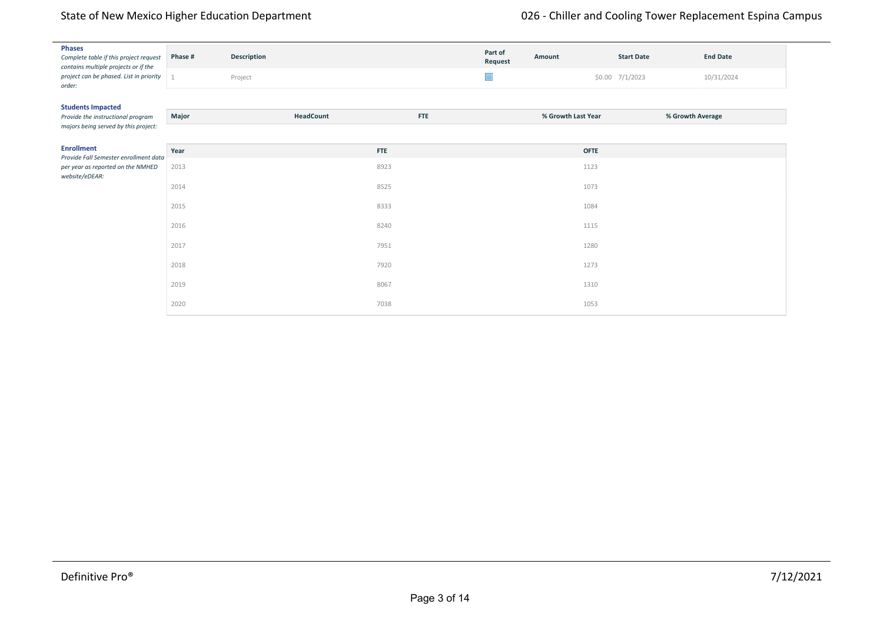|                                                   | <b>Phases</b><br>Complete table if this project request<br>contains multiple projects or if the | Phase # | Description |            | Part of<br>Request | Amount             | <b>Start Date</b> | <b>End Date</b> |  |
|---------------------------------------------------|-------------------------------------------------------------------------------------------------|---------|-------------|------------|--------------------|--------------------|-------------------|-----------------|--|
| project can be phased. List in priority<br>order: | $\mathbf{1}$                                                                                    | Project |             | $\Box$     |                    | \$0.00 7/1/2023    | 10/31/2024        |                 |  |
|                                                   | <b>Students Impacted</b>                                                                        |         |             |            |                    |                    |                   |                 |  |
|                                                   | Provide the instructional program<br>majors being served by this project:                       | Major   | HeadCount   | <b>FTE</b> |                    | % Growth Last Year | % Growth Average  |                 |  |
|                                                   |                                                                                                 |         |             |            |                    |                    |                   |                 |  |
|                                                   | <b>Enrollment</b><br>Provide Fall Semester enrollment data                                      | Year    |             | <b>FTE</b> |                    | <b>OFTE</b>        |                   |                 |  |
|                                                   | per year as reported on the NMHED<br>website/eDEAR:                                             | 2013    |             | 8923       |                    | 1123               |                   |                 |  |
|                                                   |                                                                                                 | 2014    |             | 8525       |                    | 1073               |                   |                 |  |
|                                                   |                                                                                                 | 2015    |             | 8333       |                    | 1084               |                   |                 |  |
|                                                   |                                                                                                 | 2016    |             | 8240       |                    | 1115               |                   |                 |  |
|                                                   |                                                                                                 | 2017    |             | 7951       |                    | 1280               |                   |                 |  |
|                                                   |                                                                                                 | 2018    |             | 7920       |                    | 1273               |                   |                 |  |
|                                                   |                                                                                                 | 2019    |             | 8067       |                    | 1310               |                   |                 |  |
|                                                   |                                                                                                 | 2020    |             | 7038       |                    | 1053               |                   |                 |  |

flex classroom models to maximize student safety wherever appropriate. Applicable key performance targets that were set prior to the pandemic include: Actual ‐Targets‐ Fall 2019 Fall 2020 Fall 2021 Fall 2022 Fall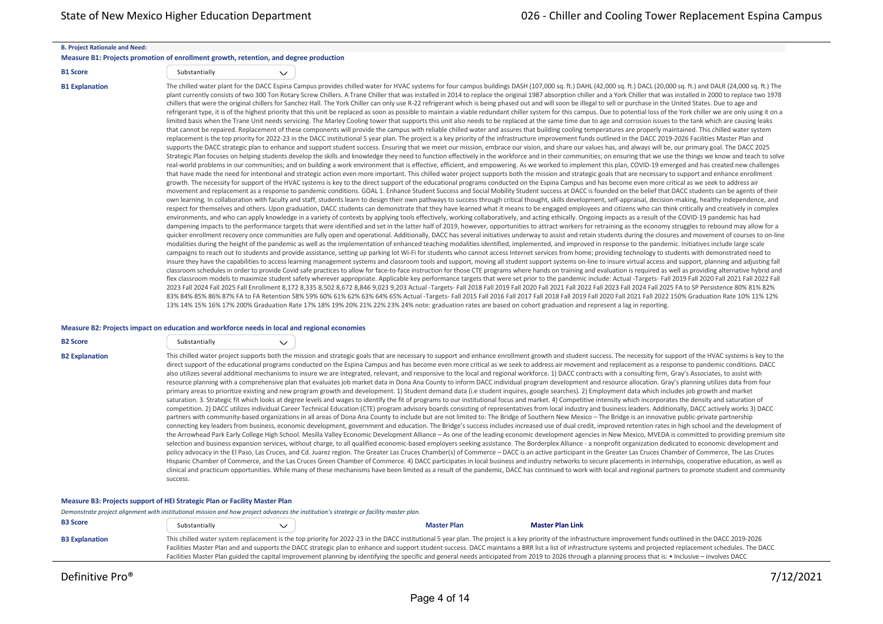#### **B. Project Rationale and Need:**

#### **Measure B1: Projects promotion of enrollment growth, retention, and degree production**

| <b>B1 Score</b> | Substantially |
|-----------------|---------------|

 $\checkmark$ 

B1 Explanation The chilled water plant for the DACC Espina Campus provides chilled water for HVAC systems for four campus buildings DASH (107,000 sq. ft.) DAHL (42,000 sq. ft.) DACL (20,000 sq. ft.) and DALR (24,000 sq. ft plant currently consists of two 300 Ton Rotary Screw Chillers. A Trane Chiller that was installed in 2014 to replace the original 1987 absorption chiller and a York Chiller that was installed in 2000 to replace two 1978 chillers that were the original chillers for Sanchez Hall. The York Chiller can only use R-22 refrigerant which is being phased out and will soon be illegal to sell or purchase in the United States. Due to age and refrigerant type, it is of the highest priority that this unit be replaced as soon as possible to maintain a viable redundant chiller system for this campus. Due to potential loss of the York chiller we are only using it o limited basis when the Trane Unit needs servicing. The Marley Cooling tower that supports this unit also needs to be replaced at the same time due to age and corrosion issues to the tank which are causing leaks that cannot be repaired. Replacement of these components will provide the campus with reliable chilled water and assures that building cooling temperatures are properly maintained. This chilled water system replacement is the top priority for 2022‐23 in the DACC institutional 5 year plan. The project is a key priority of the infrastructure improvement funds outlined in the DACC 2019‐2026 Facilities Master Plan and supports the DACC strategic plan to enhance and support student success. Ensuring that we meet our mission, embrace our vision, and share our values has, and always will be, our primary goal. The DACC 2025 Strategic Plan focuses on helping students develop the skills and knowledge they need to function effectively in the workforce and in their communities; on ensuring that we use the things we know and teach to solve real-world problems in our communities; and on building a work environment that is effective, efficient, and empowering. As we worked to implement this plan, COVID-19 emerged and has created new challenges that have made the need for intentional and strategic action even more important. This chilled water project supports both the mission and strategic goals that are necessary to support and enhance enrollment growth. The necessity for support of the HVAC systems is key to the direct support of the educational programs conducted on the Espina Campus and has become even more critical as we seek to address air movement and replacement as a response to pandemic conditions. GOAL 1. Enhance Student Success and Social Mobility Student success at DACC is founded on the belief that DACC students can be agents of their own learning. In collaboration with faculty and staff, students learn to design their own pathways to success through critical thought, skills development, self‐appraisal, decision‐making, healthy independence, and respect for themselves and others. Upon graduation, DACC students can demonstrate that they have learned what it means to be engaged employees and citizens who can think critically and creatively in complex environments, and who can apply knowledge in a variety of contexts by applying tools effectively, working collaboratively, and acting ethically. Ongoing impacts as a result of the COVID-19 pandemic has had dampening impacts to the performance targets that were identified and set in the latter half of 2019, however, opportunities to attract workers for retraining as the economy struggles to rebound may allow for a quicker enrollment recovery once communities are fully open and operational. Additionally, DACC has several initiatives underway to assist and retain students during the closures and movement of courses to on‐line modalities during the height of the pandemic as well as the implementation of enhanced teaching modalities identified, implemented, and improved in response to the pandemic. Initiatives include large scale campaigns to reach out to students and provide assistance, setting up parking lot Wi-Fi for students who cannot access Internet services from home; providing technology to students with demonstrated need to insure they have the capabilities to access learning management systems and classroom tools and support, moving all student support systems on-line to insure virtual access and support, planning and adjusting fall classroom schedules in order to provide Covid safe practices to allow for face‐to‐face instruction for those CTE programs where hands on training and evaluation is required as well as providing alternative hybrid and flex classroom models to maximize student safety wherever appropriate. Applicable key performance targets that were set prior to the pandemic include: Actual -Targets- Fall 2019 Fall 2020 Fall 2021 Fall 2022 Fall 2023 Fall 2024 Fall 2025 Fall Enrollment 8,172 8,335 8,502 8,672 8,846 9,023 9,203 Actual ‐Targets‐ Fall 2018 Fall 2019 Fall 2020 Fall 2021 Fall 2022 Fall 2023 Fall 2024 Fall 2025 FA to SP Persistence 80% 81% 82% 83% 84% 85% 86% 87% FA to FA Retention 58% 59% 60% 61% 62% 63% 64% 65% Actual ‐Targets‐ Fall 2015 Fall 2016 Fall 2017 Fall 2018 Fall 2019 Fall 2020 Fall 2021 Fall 2022 150% Graduation Rate 10% 11% 12% 13% 14% 15% 16% 17% 200% Graduation Rate 17% 18% 19% 20% 21% 22% 23% 24% note: graduation rates are based on cohort graduation and represent a lag in reporting.

#### **Measure B2: Projects impact on education and workforce needs in local and regional economies**

| <b>B2 Score</b>       | Substantially | $\checkmark$ |                                                                                                                                                                                                                                                                                                                                                                                                                                                                                                                                                                                                                                                                                                                                                                                                                                                                                                                                                                                                                                                                                                                                                                                                                                                                                                                                                                                                                                                                                                                                                                                                                                                                                                                                                                                                                                                                                                                                                                                                                                                                                                                                                                                                                                                                                                                                                                                                                                                                                                                                                                                                                                                                                                                                                                                                                                                                                                                                                                                                                                                                |  |
|-----------------------|---------------|--------------|----------------------------------------------------------------------------------------------------------------------------------------------------------------------------------------------------------------------------------------------------------------------------------------------------------------------------------------------------------------------------------------------------------------------------------------------------------------------------------------------------------------------------------------------------------------------------------------------------------------------------------------------------------------------------------------------------------------------------------------------------------------------------------------------------------------------------------------------------------------------------------------------------------------------------------------------------------------------------------------------------------------------------------------------------------------------------------------------------------------------------------------------------------------------------------------------------------------------------------------------------------------------------------------------------------------------------------------------------------------------------------------------------------------------------------------------------------------------------------------------------------------------------------------------------------------------------------------------------------------------------------------------------------------------------------------------------------------------------------------------------------------------------------------------------------------------------------------------------------------------------------------------------------------------------------------------------------------------------------------------------------------------------------------------------------------------------------------------------------------------------------------------------------------------------------------------------------------------------------------------------------------------------------------------------------------------------------------------------------------------------------------------------------------------------------------------------------------------------------------------------------------------------------------------------------------------------------------------------------------------------------------------------------------------------------------------------------------------------------------------------------------------------------------------------------------------------------------------------------------------------------------------------------------------------------------------------------------------------------------------------------------------------------------------------------------|--|
| <b>B2 Explanation</b> | success.      |              | This chilled water project supports both the mission and strategic goals that are necessary to support and enhance enrollment growth and student success. The necessity for support of the HVAC systems is key to the<br>direct support of the educational programs conducted on the Espina Campus and has become even more critical as we seek to address air movement and replacement as a response to pandemic conditions. DACC<br>also utilizes several additional mechanisms to insure we are integrated, relevant, and responsive to the local and regional workforce. 1) DACC contracts with a consulting firm, Gray's Associates, to assist with<br>resource planning with a comprehensive plan that evaluates job market data in Dona Ana County to inform DACC individual program development and resource allocation. Gray's planning utilizes data from four<br>primary areas to prioritize existing and new program growth and development. 1) Student demand data (i.e student inquires, google searches). 2) Employment data which includes job growth and market<br>saturation. 3. Strategic fit which looks at degree levels and wages to identify the fit of programs to our institutional focus and market. 4) Competitive intensity which incorporates the density and saturation of<br>competition. 2) DACC utilizes individual Career Technical Education (CTE) program advisory boards consisting of representatives from local industry and business leaders. Additionally, DACC actively works 3) DACC<br>partners with community-based organizations in all areas of Dona Ana County to include but are not limited to: The Bridge of Southern New Mexico - The Bridge is an innovative public-private partnership<br>connecting key leaders from business, economic development, government and education. The Bridge's success includes increased use of dual credit, improved retention rates in high school and the development of<br>the Arrowhead Park Early College High School. Mesilla Valley Economic Development Alliance - As one of the leading economic development agencies in New Mexico, MVEDA is committed to providing premium site<br>selection and business expansion services, without charge, to all qualified economic-based employers seeking assistance. The Borderplex Alliance - a nonprofit organization dedicated to economic development and<br>policy advocacy in the El Paso, Las Cruces, and Cd. Juarez region. The Greater Las Cruces Chamber(s) of Commerce - DACC is an active participant in the Greater Las Cruces Chamber of Commerce, The Las Cruces<br>Hispanic Chamber of Commerce, and the Las Cruces Green Chamber of Commerce. 4) DACC participates in local business and industry networks to secure placements in internships, cooperative education, as well as<br>clinical and practicum opportunities. While many of these mechanisms have been limited as a result of the pandemic, DACC has continued to work with local and regional partners to promote student and community |  |

### **Measure B3: Projects support of HEI Strategic Plan or Facility Master Plan**

*Demonstrate project alignment with institutional mission and how project advances the institution's strategic or facility master plan.* **B3 Score** Substantially **[Master Plan Link](https://defprofilebucket.s3.us-east-2.amazonaws.com/DAHPFiles_User1625_Alternative11901/02a-8-DACC-2025-Strategic-Plan-Final-January-2021.pdf) Master Plan Link Master Plan Link Master Plan Link** B3 Explanation This chilled water system replacement is the top priority for 2022-23 in the DACC institutional 5 year plan. The project is a key priority of the infrastructure improvement funds outlined in the DACC 2019-20 Facilities Master Plan and and supports the DACC strategic plan to enhance and support student success. DACC maintains a BRR list a list of infrastructure systems and projected replacement schedules. The DACC Facilities Master Plan guided the capital improvement planning by identifying the specific and general needs anticipated from 2019 to 2026 through a planning process that is: • Inclusive – involves DACC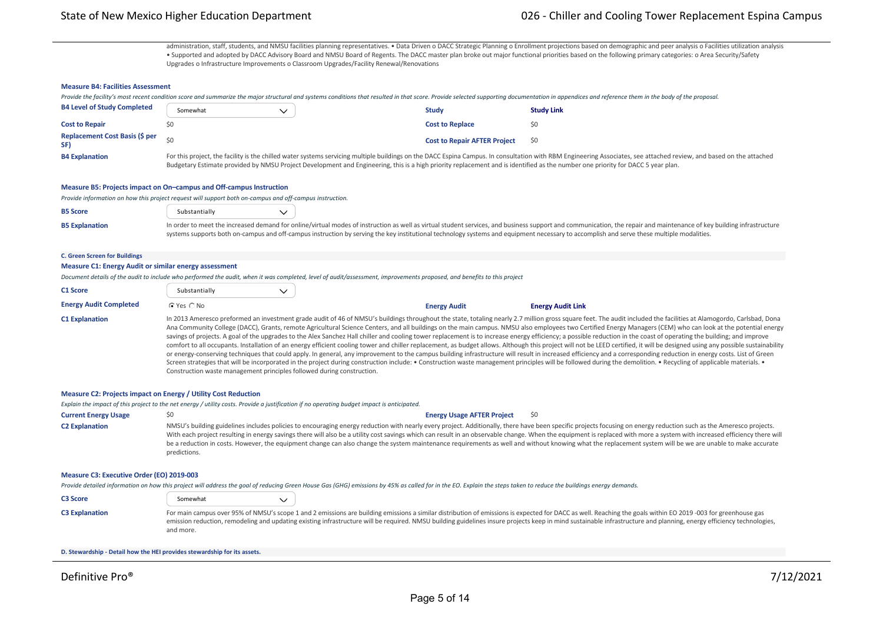administration, staff, students, and NMSU facilities planning representatives. . Data Driven o DACC Strategic Planning o Enrollment projections based on demographic and peer analysis o Facilities utilization analysis • Supported and adopted by DACC Advisory Board and NMSU Board of Regents. The DACC master plan broke out major functional priorities based on the following primary categories: o Area Security/Safety Upgrades o Infrastructure Improvements o Classroom Upgrades/Facility Renewal/Renovations

### **Measure B4: Facilities Assessment**

Provide the facility's most recent condition score and summarize the major structural and systems conditions that resulted in that score. Provide selected supporting documentation in appendices and reference them in the bo

| <b>B4 Level of Study Completed</b>           | Somewhat                                                                                                                                                                        | <b>Study</b>                        | <b>Study Link</b>                                                                                                                                                                                                   |
|----------------------------------------------|---------------------------------------------------------------------------------------------------------------------------------------------------------------------------------|-------------------------------------|---------------------------------------------------------------------------------------------------------------------------------------------------------------------------------------------------------------------|
| <b>Cost to Repair</b>                        |                                                                                                                                                                                 | <b>Cost to Replace</b>              |                                                                                                                                                                                                                     |
| <b>Replacement Cost Basis (\$ per</b><br>SF) |                                                                                                                                                                                 | <b>Cost to Repair AFTER Project</b> | S0                                                                                                                                                                                                                  |
| <b>B4 Explanation</b>                        | Budgetary Estimate provided by NMSU Project Development and Engineering, this is a high priority replacement and is identified as the number one priority for DACC 5 year plan. |                                     | For this project, the facility is the chilled water systems servicing multiple buildings on the DACC Espina Campus. In consultation with RBM Engineering Associates, see attached review, and based on the attached |

**Measure B5: Projects impact on On–campus and Off‐campus Instruction**

*Provide information on how this project request will support both on‐campus and off‐campus instruction.*

| <b>B5 Score</b>       | Substantially |                                                                                                                                                                                                                      |
|-----------------------|---------------|----------------------------------------------------------------------------------------------------------------------------------------------------------------------------------------------------------------------|
| <b>B5 Explanation</b> |               | In order to meet the increased demand for online/virtual modes of instruction as well as virtual student services, and business support and communication, the repair and maintenance of key building infrastructure |
|                       |               | systems supports both on-campus and off-campus instruction by serving the key institutional technology systems and equipment necessary to accomplish and serve these multiple modalities.                            |

#### **C. Green Screen for Buildings**

#### **Measure C1: Energy Audit or similar energy assessment**

*Document details of the audit to include who performed the audit, when it was completed, level of audit/assessment, improvements proposed, and benefits to this project*

| <b>C1 Score</b>               | Substantially  |                     |                                                                                                                                                                                                                                                                                                                                                                                                                                                                                                                                                                                                                                                                                                                                                                                                                                                                                                                                                                                                                                                                                                                                                                                                                                                                                                                                              |
|-------------------------------|----------------|---------------------|----------------------------------------------------------------------------------------------------------------------------------------------------------------------------------------------------------------------------------------------------------------------------------------------------------------------------------------------------------------------------------------------------------------------------------------------------------------------------------------------------------------------------------------------------------------------------------------------------------------------------------------------------------------------------------------------------------------------------------------------------------------------------------------------------------------------------------------------------------------------------------------------------------------------------------------------------------------------------------------------------------------------------------------------------------------------------------------------------------------------------------------------------------------------------------------------------------------------------------------------------------------------------------------------------------------------------------------------|
| <b>Energy Audit Completed</b> | $C$ Yes $C$ No | <b>Energy Audit</b> | <b>Energy Audit Link</b>                                                                                                                                                                                                                                                                                                                                                                                                                                                                                                                                                                                                                                                                                                                                                                                                                                                                                                                                                                                                                                                                                                                                                                                                                                                                                                                     |
| <b>C1 Explanation</b>         |                |                     | In 2013 Ameresco preformed an investment grade audit of 46 of NMSU's buildings throughout the state, totaling nearly 2.7 million gross square feet. The audit included the facilities at Alamogordo, Carlsbad, Dona<br>Ana Community College (DACC), Grants, remote Agricultural Science Centers, and all buildings on the main campus. NMSU also employees two Certified Energy Managers (CEM) who can look at the potential energy<br>savings of projects. A goal of the upgrades to the Alex Sanchez Hall chiller and cooling tower replacement is to increase energy efficiency; a possible reduction in the coast of operating the building; and improve<br>comfort to all occupants. Installation of an energy efficient cooling tower and chiller replacement, as budget allows. Although this project will not be LEED certified, it will be designed using any possible sustainability<br>or energy-conserving techniques that could apply. In general, any improvement to the campus building infrastructure will result in increased efficiency and a corresponding reduction in energy costs. List of Green<br>Screen strategies that will be incorporated in the project during construction include: • Construction waste management principles will be followed during the demolition. • Recycling of applicable materials. • |

### **Measure C2: Projects impact on Energy / Utility Cost Reduction**

*Explain the impact of this project to the net energy / utility costs. Provide a justification if no operating budget impact is anticipated.*

Construction waste management principles followed during construction.

**Current Energy Usage** \$0 **Energy Usage AFTER Project** \$0 C2 Explanation MMSU's building guidelines includes policies to encouraging energy reduction with nearly every project. Additionally, there have been specific projects focusing on energy reduction such as the Ameresco proje With each project resulting in energy savings there will also be a utility cost savings which can result in an observable change. When the equipment is replaced with more a system with increased efficiency there will be a reduction in costs. However, the equipment change can also change the system maintenance requirements as well and without knowing what the replacement system will be we are unable to make accurate predictions.

#### **Measure C3: Executive Order (EO) 2019‐003**

*Provide detailed information on how this project will address the goal of reducing Green House Gas (GHG) emissions by 45% as called for in the EO. Explain the steps taken to reduce the buildings energy demands.*

| C <sub>3</sub> Score  | Somewhat  |                                                                                                                                                                                                                                                                                                                                                                                                                                       |
|-----------------------|-----------|---------------------------------------------------------------------------------------------------------------------------------------------------------------------------------------------------------------------------------------------------------------------------------------------------------------------------------------------------------------------------------------------------------------------------------------|
| <b>C3 Explanation</b> | and more. | For main campus over 95% of NMSU's scope 1 and 2 emissions are building emissions a similar distribution of emissions is expected for DACC as well. Reaching the goals within EO 2019 -003 for greenhouse gas<br>emission reduction, remodeling and updating existing infrastructure will be required. NMSU building guidelines insure projects keep in mind sustainable infrastructure and planning, energy efficiency technologies, |

#### **D. Stewardship ‐ Detail how the HEI provides stewardship for its assets.**

**Measure D1: Project Estimates**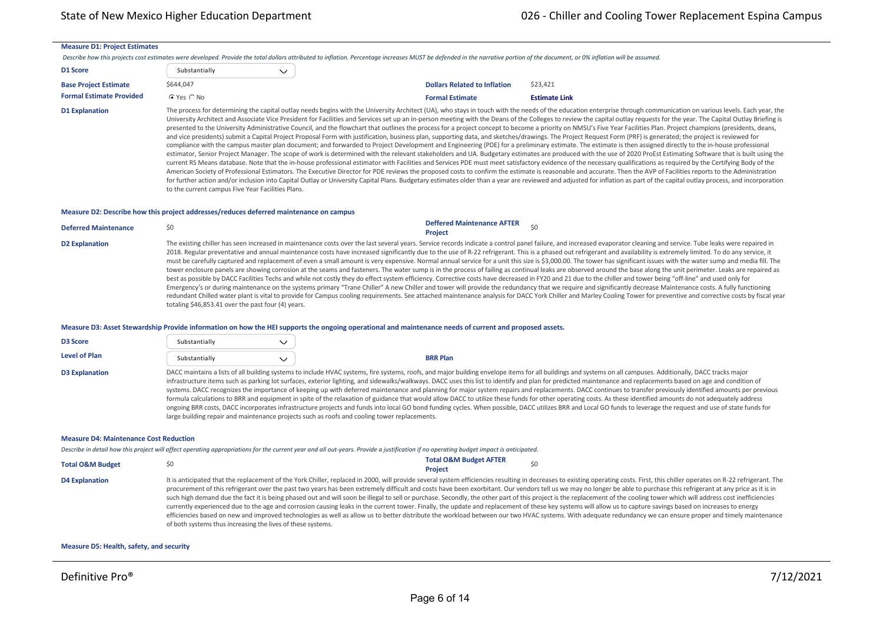#### **Measure D1: Project Estimates**

Describe how this projects cost estimates were developed. Provide the total dollars attributed to inflation. Percentage increases MUST be defended in the narrative portion of the document, or 0% inflation will be assumed

| D1 Score                        | Substantially  |  |                                     |
|---------------------------------|----------------|--|-------------------------------------|
| <b>Base Project Estimate</b>    | \$644.047      |  | <b>Dollars Related to Inflation</b> |
| <b>Formal Estimate Provided</b> | $C$ Yes $C$ No |  | <b>Formal Estimate</b>              |

D1 Explanation The process for determining the capital outlay needs begins with the University Architect (UA), who stays in touch with the needs of the education enterprise through communication on various levels. Each yea University Architect and Associate Vice President for Facilities and Services set up an in‐person meeting with the Deans of the Colleges to review the capital outlay requests for the year. The Capital Outlay Briefing is presented to the University Administrative Council, and the flowchart that outlines the process for a project concept to become a priority on NMSU's Five Year Facilities Plan. Project champions (presidents, deans, and vice presidents) submit a Capital Project Proposal Form with justification, business plan, supporting data, and sketches/drawings. The Project Request Form (PRF) is generated; the project is reviewed for compliance with the campus master plan document; and forwarded to Project Development and Engineering (PDE) for a preliminary estimate. The estimate is then assigned directly to the in-house professional estimator, Senior Project Manager. The scope of work is determined with the relevant stakeholders and UA. Budgetary estimates are produced with the use of 2020 ProEst Estimating Software that is built using the current RS Means database. Note that the in-house professional estimator with Facilities and Services PDE must meet satisfactory evidence of the necessary qualifications as required by the Certifying Body of the American Society of Professional Estimators. The Executive Director for PDE reviews the proposed costs to confirm the estimate is reasonable and accurate. Then the AVP of Facilities reports to the Administration for further action and/or inclusion into Capital Outlay or University Capital Plans. Budgetary estimates older than a year are reviewed and adjusted for inflation as part of the capital outlay process, and incorporation to the current campus Five Year Facilities Plans.

#### **Measure D2: Describe how this project addresses/reduces deferred maintenance on campus**

| <b>Deferred Maintenance</b> | <b>Deffered Maintenance AFTER</b><br><b>Project</b>                                                                                                                                                                                                                                                                                                                                                                                                                                                                                                                                                                                                                                                                                                                                                                                                                                                                                                                                                                                                                                                                                                                                                                                                                                                                                                                                                                                                                                                                                                                                                                      |
|-----------------------------|--------------------------------------------------------------------------------------------------------------------------------------------------------------------------------------------------------------------------------------------------------------------------------------------------------------------------------------------------------------------------------------------------------------------------------------------------------------------------------------------------------------------------------------------------------------------------------------------------------------------------------------------------------------------------------------------------------------------------------------------------------------------------------------------------------------------------------------------------------------------------------------------------------------------------------------------------------------------------------------------------------------------------------------------------------------------------------------------------------------------------------------------------------------------------------------------------------------------------------------------------------------------------------------------------------------------------------------------------------------------------------------------------------------------------------------------------------------------------------------------------------------------------------------------------------------------------------------------------------------------------|
| <b>D2 Explanation</b>       | The existing chiller has seen increased in maintenance costs over the last several years. Service records indicate a control panel failure, and increased evaporator cleaning and service. Tube leaks were repaired in<br>2018. Regular preventative and annual maintenance costs have increased significantly due to the use of R-22 refrigerant. This is a phased out refrigerant and availability is extremely limited. To do any service, it<br>must be carefully captured and replacement of even a small amount is very expensive. Normal annual service for a unit this size is \$3,000.00. The tower has significant issues with the water sump and media fill. The<br>tower enclosure panels are showing corrosion at the seams and fasteners. The water sump is in the process of failing as continual leaks are observed around the base along the unit perimeter. Leaks are repaired as<br>best as possible by DACC Facilities Techs and while not costly they do effect system efficiency. Corrective costs have decreased in FY20 and 21 due to the chiller and tower being "off-line" and used only for<br>Emergency's or during maintenance on the systems primary "Trane Chiller" A new Chiller and tower will provide the redundancy that we require and significantly decrease Maintenance costs. A fully functioning<br>redundant Chilled water plant is vital to provide for Campus cooling requirements. See attached maintenance analysis for DACC York Chiller and Marley Cooling Tower for preventive and corrective costs by fiscal year<br>totaling \$46,853.41 over the past four (4) years. |

#### **Measure D3: Asset Stewardship Provide information on how the HEI supports the ongoing operational and maintenance needs of current and proposed assets.**

| <b>D3 Score</b>       | Substantially |                                                                                              |                                                                                                                                                                                                                                                                                                                                                                                                                                                                                                                                                                                                                                                                                                                                                                                                                                                                                                                                                                                                                                                                                         |
|-----------------------|---------------|----------------------------------------------------------------------------------------------|-----------------------------------------------------------------------------------------------------------------------------------------------------------------------------------------------------------------------------------------------------------------------------------------------------------------------------------------------------------------------------------------------------------------------------------------------------------------------------------------------------------------------------------------------------------------------------------------------------------------------------------------------------------------------------------------------------------------------------------------------------------------------------------------------------------------------------------------------------------------------------------------------------------------------------------------------------------------------------------------------------------------------------------------------------------------------------------------|
| Level of Plan         | Substantially |                                                                                              | <b>BRR Plan</b>                                                                                                                                                                                                                                                                                                                                                                                                                                                                                                                                                                                                                                                                                                                                                                                                                                                                                                                                                                                                                                                                         |
| <b>D3 Explanation</b> |               | large building repair and maintenance projects such as roofs and cooling tower replacements. | DACC maintains a lists of all building systems to include HVAC systems, fire systems, roofs, and major building envelope items for all buildings and systems on all campuses. Additionally, DACC tracks major<br>infrastructure items such as parking lot surfaces, exterior lighting, and sidewalks/walkways. DACC uses this list to identify and plan for predicted maintenance and replacements based on age and condition of<br>systems. DACC recognizes the importance of keeping up with deferred maintenance and planning for major system repairs and replacements. DACC continues to transfer previously identified amounts per previous<br>formula calculations to BRR and equipment in spite of the relaxation of guidance that would allow DACC to utilize these funds for other operating costs. As these identified amounts do not adequately address<br>ongoing BRR costs, DACC incorporates infrastructure projects and funds into local GO bond funding cycles. When possible, DACC utilizes BRR and Local GO funds to leverage the request and use of state funds for |

#### **Measure D4: Maintenance Cost Reduction**

*Describe in detail how this project will affect operating appropriations for the current year and all out‐years. Provide a justification if no operating budget impact is anticipated.*

| <b>Total O&amp;M Budget</b> |                                                                                                                                                           | <b>Total O&amp;M Budget AFTER</b> |  |
|-----------------------------|-----------------------------------------------------------------------------------------------------------------------------------------------------------|-----------------------------------|--|
|                             |                                                                                                                                                           | <b>Project</b>                    |  |
| <b>D4 Explanation</b>       | It is anticipated that the replacement of the York Chiller, replaced in 2000, will provide several system efficiencies resulting in decreases to existing |                                   |  |
|                             | procurement of this refrigerant over the past two years has been extremely difficult and costs have been exorbitant. Our vendors tell us we may n         |                                   |  |

g operating costs. First, this chiller operates on R-22 refrigerant. The no longer be able to purchase this refrigerant at any price as it is in such high demand due the fact it is being phased out and will soon be illegal to sell or purchase. Secondly, the other part of this project is the replacement of the cooling tower which will address cost inefficiencies currently experienced due to the age and corrosion causing leaks in the current tower. Finally, the update and replacement of these key systems will allow us to capture savings based on increases to energy efficiencies based on new and improved technologies as well as allow us to better distribute the workload between our two HVAC systems. With adequate redundancy we can ensure proper and timely maintenance of both systems thus increasing the lives of these systems.

#### **Measure D5: Health, safety, and security**

,我们也不能在这里的时候,我们也不能不能不能不能不能不能不能不能不能不能不能不能不能不能不能不能。""我们的是我们的,我们也不能不能不能不能不能不能不能不能不能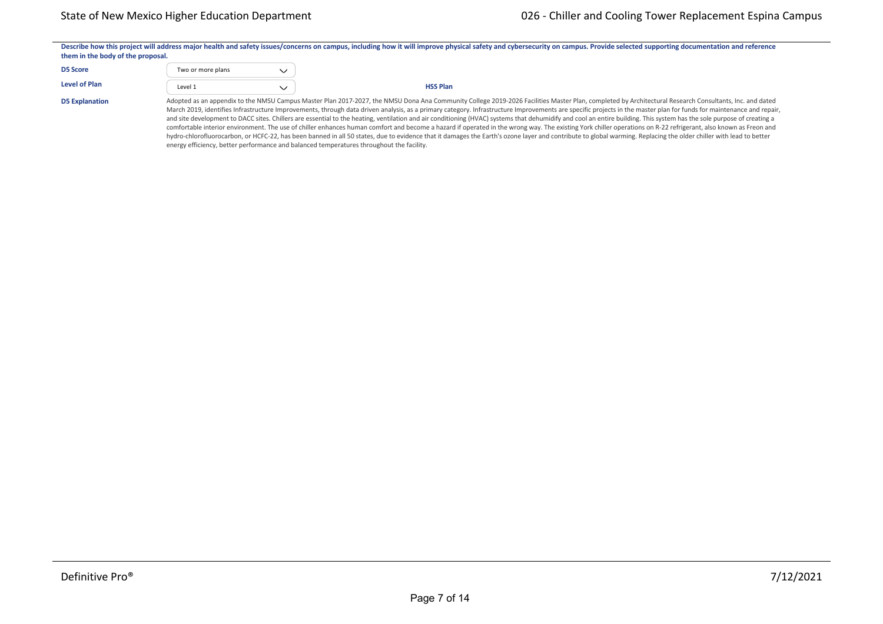|                                   |                   | Describe how this project will address major health and safety issues/concerns on campus, including how it will improve physical safety and cybersecurity on campus. Provide selected supporting documentation and reference |  |  |  |  |  |  |
|-----------------------------------|-------------------|------------------------------------------------------------------------------------------------------------------------------------------------------------------------------------------------------------------------------|--|--|--|--|--|--|
| them in the body of the proposal. |                   |                                                                                                                                                                                                                              |  |  |  |  |  |  |
|                                   |                   |                                                                                                                                                                                                                              |  |  |  |  |  |  |
| <b>D5 Score</b>                   | Two or more plans |                                                                                                                                                                                                                              |  |  |  |  |  |  |
| <b>Level of Plan</b>              |                   |                                                                                                                                                                                                                              |  |  |  |  |  |  |
|                                   | Level 1           | <b>HSS Plan</b>                                                                                                                                                                                                              |  |  |  |  |  |  |
|                                   |                   | ali I Piula Barachio a a i milografione di control de concentra della controlla di di controlla della di controll                                                                                                            |  |  |  |  |  |  |

D5 Explanation **Adopted as an appendix to the NMSU Campus Master Plan 2017‐2027**, the NMSU Dona Ana Community College 2019‐2026 Facilities Master Plan, completed by Architectural Research Consultants, Inc. and dated March 2019, identifies Infrastructure Improvements, through data driven analysis, as a primary category. Infrastructure Improvements are specific projects in the master plan for funds for maintenance and repair, and site development to DACC sites. Chillers are essential to the heating, ventilation and air conditioning (HVAC) systems that dehumidify and cool an entire building. This system has the sole purpose of creating a comfortable interior environment. The use of chiller enhances human comfort and become a hazard if operated in the wrong way. The existing York chiller operations on R-22 refrigerant, also known as Freon and hydro-chlorofluorocarbon, or HCFC-22, has been banned in all 50 states, due to evidence that it damages the Earth's ozone layer and contribute to global warming. Replacing the older chiller with lead to better energy efficiency, better performance and balanced temperatures throughout the facility.

**Outside Services \$** \$0 \$0 \$0 \$0 \$0 \$0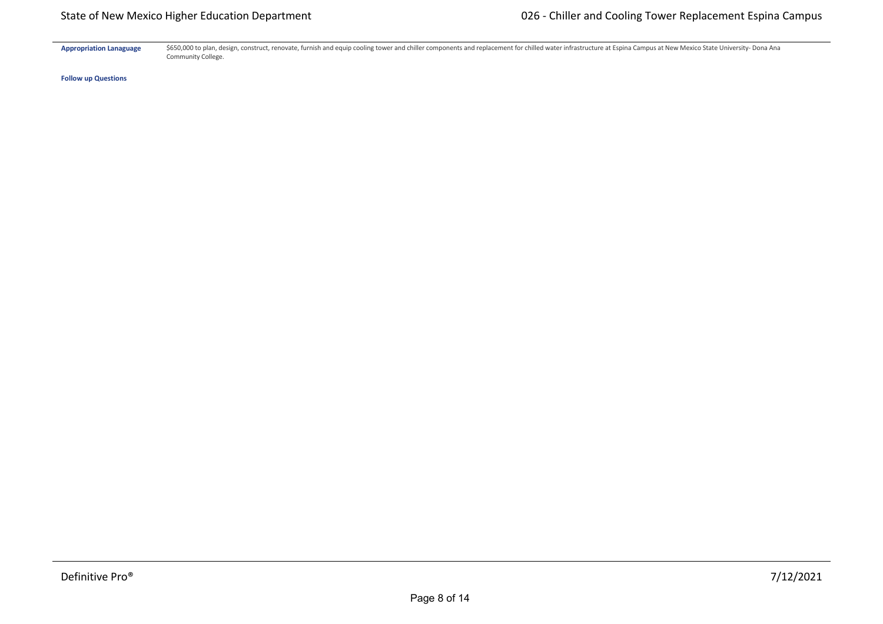Appropriation Lanaguage \$650,000 to plan, design, construct, renovate, furnish and equip cooling tower and chiller components and replacement for chilled water infrastructure at Espina Campus at New Mexico State University Community College.

**Follow up Questions**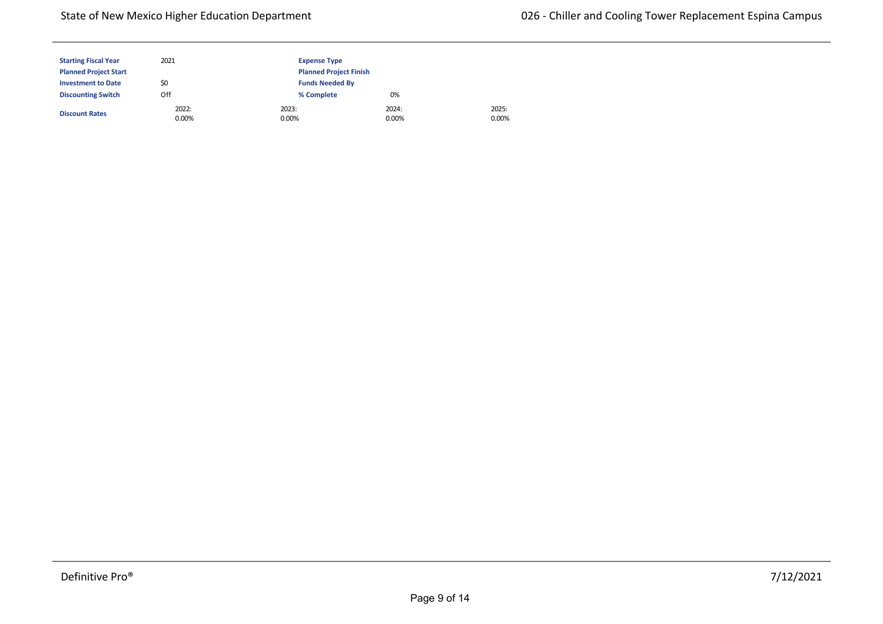## State of New Mexico Higher Education Department

| <b>Starting Fiscal Year</b>  | 2021              | <b>Expense Type</b>           |                   |  |  |
|------------------------------|-------------------|-------------------------------|-------------------|--|--|
| <b>Planned Project Start</b> |                   | <b>Planned Project Finish</b> |                   |  |  |
| <b>Investment to Date</b>    | \$0               | <b>Funds Needed By</b>        |                   |  |  |
| <b>Discounting Switch</b>    | Off               | % Complete                    | 0%                |  |  |
| <b>Discount Rates</b>        | 2022:<br>$0.00\%$ | 2023:<br>0.00%                | 2024:<br>$0.00\%$ |  |  |

2025: 0.00%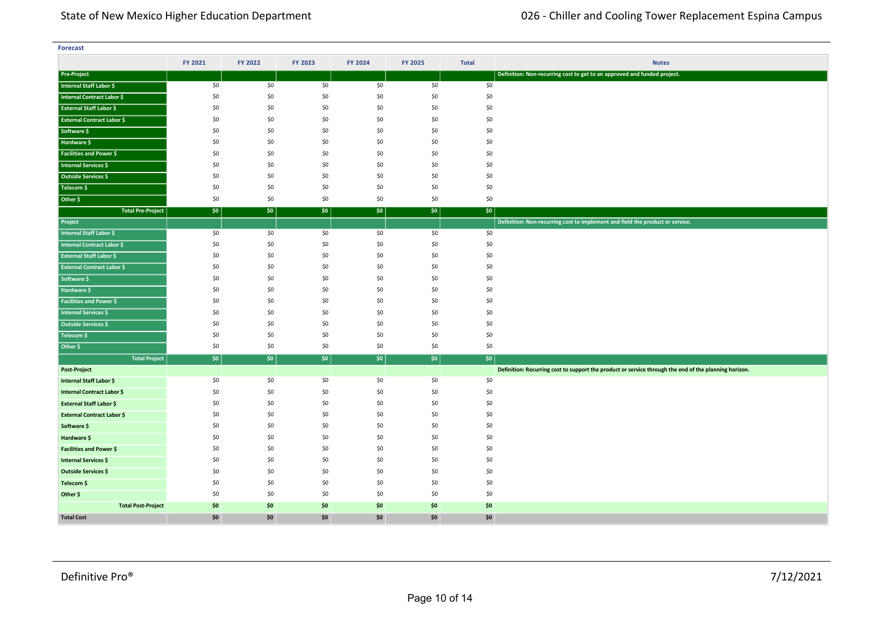| <b>Forecast</b>                   |         |         |         |         |         |              |                                                                                                       |  |
|-----------------------------------|---------|---------|---------|---------|---------|--------------|-------------------------------------------------------------------------------------------------------|--|
|                                   | FY 2021 | FY 2022 | FY 2023 | FY 2024 | FY 2025 | <b>Total</b> | <b>Notes</b>                                                                                          |  |
| <b>Pre-Project</b>                |         |         |         |         |         |              | Definition: Non-recurring cost to get to an approved and funded project.                              |  |
| Internal Staff Labor \$           | \$0     | \$0     | \$0     | \$0     | \$0     | \$0          |                                                                                                       |  |
| Internal Contract Labor \$        | \$0     | \$0     | \$0     | \$0     | \$0     | \$0          |                                                                                                       |  |
| <b>External Staff Labor \$</b>    | \$0     | \$0     | \$0     | \$0     | \$0     | \$0          |                                                                                                       |  |
| <b>External Contract Labor \$</b> | \$0     | \$0     | \$0     | \$0     | \$0     | \$0          |                                                                                                       |  |
| Software \$                       | \$0     | \$0     | \$0     | \$0     | \$0     | \$0          |                                                                                                       |  |
| Hardware \$                       | \$0     | \$0     | \$0     | \$0     | \$0     | \$0          |                                                                                                       |  |
| Facilities and Power \$           | \$0     | \$0     | \$0     | \$0     | \$0     | \$0          |                                                                                                       |  |
| Internal Services \$              | \$0     | \$0     | \$0     | \$0     | \$0     | \$0          |                                                                                                       |  |
| <b>Outside Services \$</b>        | \$0     | \$0     | \$0     | \$0     | \$0     | \$0          |                                                                                                       |  |
| Telecom \$                        | \$0     | \$0     | \$0     | \$0     | \$0     | \$0          |                                                                                                       |  |
| Other \$                          | \$0     | \$0     | \$0     | \$0     | \$0     | \$0          |                                                                                                       |  |
| <b>Total Pre-Project</b>          | \$0     | \$0     | \$0     | \$0     | \$0     | \$0          |                                                                                                       |  |
| Project                           |         |         |         |         |         |              | Definition: Non-recurring cost to implement and field the product or service.                         |  |
| Internal Staff Labor \$           | \$0     | \$0     | \$0     | \$0     | \$0     | \$0          |                                                                                                       |  |
| Internal Contract Labor \$        | \$0     | \$0     | \$0     | \$0     | \$0     | \$0          |                                                                                                       |  |
| <b>External Staff Labor \$</b>    | \$0     | \$0     | \$0     | \$0     | \$0     | \$0          |                                                                                                       |  |
| <b>External Contract Labor \$</b> | \$0     | \$0     | \$0     | \$0     | \$0     | \$0          |                                                                                                       |  |
| Software \$                       | \$0     | \$0     | \$0     | \$0     | \$0     | \$0          |                                                                                                       |  |
| Hardware \$                       | \$0     | \$0     | \$0     | \$0     | \$0     | \$0          |                                                                                                       |  |
| <b>Facilities and Power \$</b>    | \$0     | \$0     | \$0     | \$0     | \$0     | \$0          |                                                                                                       |  |
| <b>Internal Services \$</b>       | \$0     | \$0     | \$0     | \$0     | \$0     | \$0          |                                                                                                       |  |
| Outside Services \$               | \$0     | \$0     | \$0     | \$0     | \$0     | \$0          |                                                                                                       |  |
| Telecom \$                        | \$0     | \$0     | \$0     | \$0     | \$0     | \$0          |                                                                                                       |  |
| Other \$                          | \$0     | \$0     | \$0     | \$0     | \$0     | \$0          |                                                                                                       |  |
| <b>Total Project</b>              | \$0     | \$0     | \$0     | \$0     | \$0     | \$0          |                                                                                                       |  |
| Post-Project                      |         |         |         |         |         |              | Definition: Recurring cost to support the product or service through the end of the planning horizon. |  |
| Internal Staff Labor \$           | \$0     | \$0     | \$0     | \$0     | \$0     | \$0          |                                                                                                       |  |
| Internal Contract Labor \$        | \$0     | \$0     | \$0     | \$0     | \$0     | \$0          |                                                                                                       |  |
| <b>External Staff Labor \$</b>    | \$0     | \$0     | \$0     | \$0     | \$0     | \$0          |                                                                                                       |  |
| <b>External Contract Labor \$</b> | \$0     | \$0     | \$0     | \$0     | \$0     | \$0          |                                                                                                       |  |
| Software \$                       | \$0     | \$0     | \$0     | \$0     | \$0     | \$0          |                                                                                                       |  |
| Hardware \$                       | \$0     | \$0     | \$0     | \$0     | \$0     | \$0          |                                                                                                       |  |
| <b>Facilities and Power \$</b>    | \$0     | \$0     | \$0     | \$0     | \$0     | \$0          |                                                                                                       |  |
| <b>Internal Services \$</b>       | \$0     | \$0     | \$0     | \$0     | \$0     | \$0          |                                                                                                       |  |
| Outside Services \$               | \$0     | \$0     | \$0     | \$0     | \$0     | \$0          |                                                                                                       |  |
| Telecom \$                        | \$0     | \$0     | \$0     | \$0     | \$0     | \$0          |                                                                                                       |  |
| Other \$                          | \$0     | \$0     | \$0     | \$0     | \$0     | \$0          |                                                                                                       |  |
| <b>Total Post-Project</b>         | \$0     | \$0     | \$0     | \$0     | \$0     | \$0          |                                                                                                       |  |
| <b>Total Cost</b>                 | \$0     | \$0     | \$0     | \$0     | \$0     | \$0          |                                                                                                       |  |

**<Source 1> \$** \$0 \$0 \$0 \$0 \$0 \$0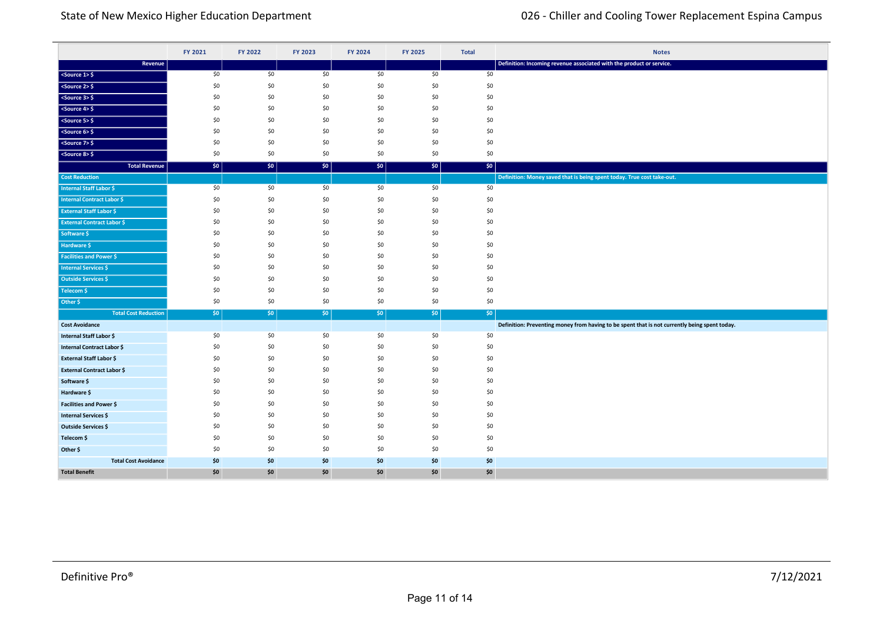|                                   | FY 2021    | FY 2022    | FY 2023    | FY 2024    | FY 2025    | <b>Total</b> | <b>Notes</b>                                                                                  |
|-----------------------------------|------------|------------|------------|------------|------------|--------------|-----------------------------------------------------------------------------------------------|
| Revenue                           |            |            |            |            |            |              | Definition: Incoming revenue associated with the product or service.                          |
| $<$ Source 1> $\frac{1}{2}$       | \$0        | \$0        | \$0        | \$0        | \$0        | \$0          |                                                                                               |
| $<$ Source 2> $\frac{1}{2}$       | \$0        | \$0        | \$0        | \$0        | \$0        | \$0          |                                                                                               |
| $<$ Source 3> $$$                 | \$0        | \$0        | \$0        | \$0        | \$0        | \$0          |                                                                                               |
| $<$ Source 4> $\frac{1}{2}$       | \$0        | \$0        | \$0        | \$0        | \$0        | \$0          |                                                                                               |
| $<$ Source 5> $\frac{1}{2}$       | \$0        | \$0        | \$0        | \$0        | \$0        | \$0          |                                                                                               |
| $<$ Source 6> $\frac{1}{2}$       | \$0        | \$0        | \$0        | \$0        | \$0        | \$0          |                                                                                               |
| $<$ Source 7> $\frac{6}{5}$       | \$0        | \$0        | \$0        | \$0        | \$0        | \$0          |                                                                                               |
| $<$ Source 8> $\frac{6}{5}$       | \$0        | \$0        | \$0        | \$0        | \$0        | \$0          |                                                                                               |
| <b>Total Revenue</b>              | \$0        | $ $ \$0    | \$0        | \$0        | \$0        | \$0\$        |                                                                                               |
| <b>Cost Reduction</b>             |            |            |            |            |            |              | Definition: Money saved that is being spent today. True cost take-out.                        |
| <b>Internal Staff Labor \$</b>    | \$0        | \$0        | \$0        | \$0        | \$0        | \$0          |                                                                                               |
| <b>Internal Contract Labor \$</b> | \$0        | \$0        | \$0        | \$0        | \$0        | \$0          |                                                                                               |
| <b>External Staff Labor \$</b>    | \$0        | \$0        | \$0        | \$0        | \$0        | \$0          |                                                                                               |
| <b>External Contract Labor \$</b> | \$0        | \$0        | \$0        | \$0        | \$0        | \$0          |                                                                                               |
| Software \$                       | \$0        | \$0        | \$0        | \$0        | \$0        | \$0          |                                                                                               |
| Hardware \$                       | \$0        | \$0        | \$0        | \$0        | \$0        | \$0          |                                                                                               |
| <b>Facilities and Power \$</b>    | \$0<br>\$0 | \$0<br>\$0 | \$0<br>\$0 | \$0<br>\$0 | \$0<br>\$0 | \$0<br>\$0   |                                                                                               |
| <b>Internal Services \$</b>       | \$0        | \$0        | \$0        | \$0        | \$0        | \$0          |                                                                                               |
| <b>Outside Services \$</b>        | \$0        | \$0        | \$0        | \$0        | \$0        | \$0          |                                                                                               |
| Telecom \$<br>Other \$            | \$0        | \$0        | \$0        | \$0        | \$0        | \$0          |                                                                                               |
| <b>Total Cost Reduction</b>       | \$0        | $ $ \$0    | \$0        | \$0        | 50         | \$0          |                                                                                               |
| <b>Cost Avoidance</b>             |            |            |            |            |            |              | Definition: Preventing money from having to be spent that is not currently being spent today. |
| Internal Staff Labor \$           | \$0        | \$0        | \$0        | \$0        | \$0        | \$0          |                                                                                               |
| <b>Internal Contract Labor \$</b> | \$0        | \$0        | \$0        | \$0        | \$0        | \$0          |                                                                                               |
| <b>External Staff Labor \$</b>    | \$0        | \$0        | \$0        | \$0        | \$0        | \$0          |                                                                                               |
| <b>External Contract Labor \$</b> | \$0        | \$0        | \$0        | \$0        | \$0        | \$0          |                                                                                               |
| Software \$                       | \$0        | \$0        | \$0        | \$0        | \$0        | \$0          |                                                                                               |
| Hardware \$                       | \$0        | \$0        | \$0        | \$0        | \$0        | \$0          |                                                                                               |
| <b>Facilities and Power \$</b>    | \$0        | \$0        | \$0        | \$0        | \$0        | \$0          |                                                                                               |
| <b>Internal Services \$</b>       | \$0        | \$0        | \$0        | \$0        | \$0        | \$0          |                                                                                               |
| <b>Outside Services \$</b>        | \$0        | \$0        | \$0        | \$0        | \$0        | \$0          |                                                                                               |
| Telecom \$                        | \$0        | \$0        | \$0        | \$0        | \$0        | \$0          |                                                                                               |
| Other \$                          | \$0        | \$0        | \$0        | \$0        | \$0        | \$0          |                                                                                               |
| <b>Total Cost Avoidance</b>       | \$0        | \$0        | \$0        | \$0        | \$0        | \$0          |                                                                                               |
| <b>Total Benefit</b>              | \$0        | \$0        | \$0        | \$0        | \$0        | \$0          |                                                                                               |

**Total Cost Reduction** \$0 \$0 \$0 \$0 \$0 \$0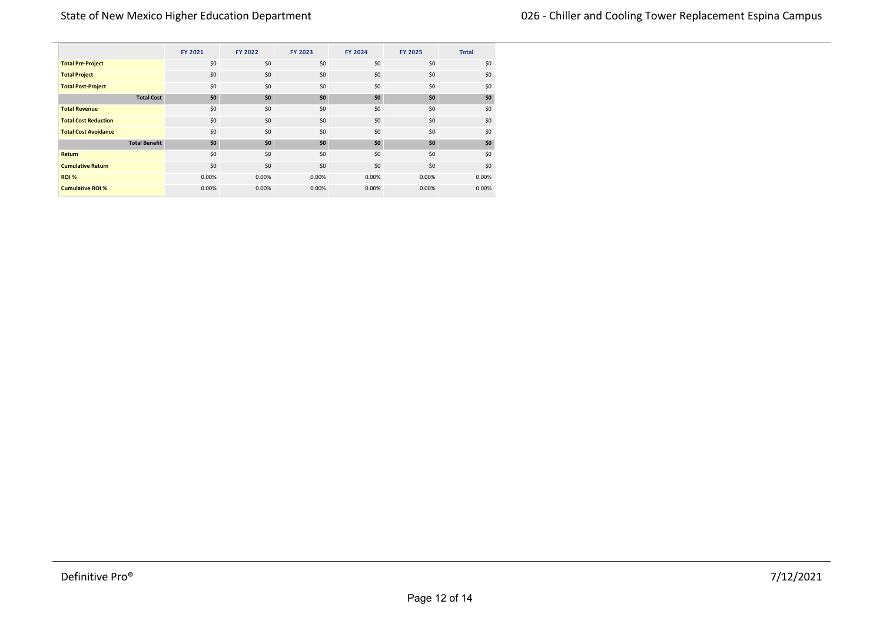|                             |                      | FY 2021 | FY 2022 | FY 2023 | FY 2024 | <b>FY 2025</b> | <b>Total</b> |
|-----------------------------|----------------------|---------|---------|---------|---------|----------------|--------------|
| <b>Total Pre-Project</b>    |                      | \$0     | \$0     | \$0     | \$0     | \$0            | \$0          |
| <b>Total Project</b>        |                      | \$0     | \$0     | \$0     | \$0     | \$0            | \$0          |
| <b>Total Post-Project</b>   |                      | \$0     | \$0     | \$0     | \$0     | \$0            | \$0          |
|                             | <b>Total Cost</b>    | \$0     | \$0     | \$0     | \$0     | \$0            | \$0          |
| <b>Total Revenue</b>        |                      | \$0     | \$0     | \$0     | \$0     | \$0            | \$0          |
| <b>Total Cost Reduction</b> |                      | \$0     | \$0     | \$0     | \$0     | \$0            | \$0          |
| <b>Total Cost Avoidance</b> |                      | \$0     | \$0     | \$0     | \$0     | \$0            | \$0          |
|                             | <b>Total Benefit</b> | \$0     | \$0     | \$0     | \$0     | \$0            | \$0          |
| <b>Return</b>               |                      | \$0     | \$0     | \$0     | \$0     | \$0            | \$0          |
| <b>Cumulative Return</b>    |                      | \$0     | \$0     | \$0     | \$0     | \$0            | \$0          |
| ROI %                       |                      | 0.00%   | 0.00%   | 0.00%   | 0.00%   | 0.00%          | 0.00%        |
| <b>Cumulative ROI %</b>     |                      | 0.00%   | 0.00%   | 0.00%   | 0.00%   | 0.00%          | 0.00%        |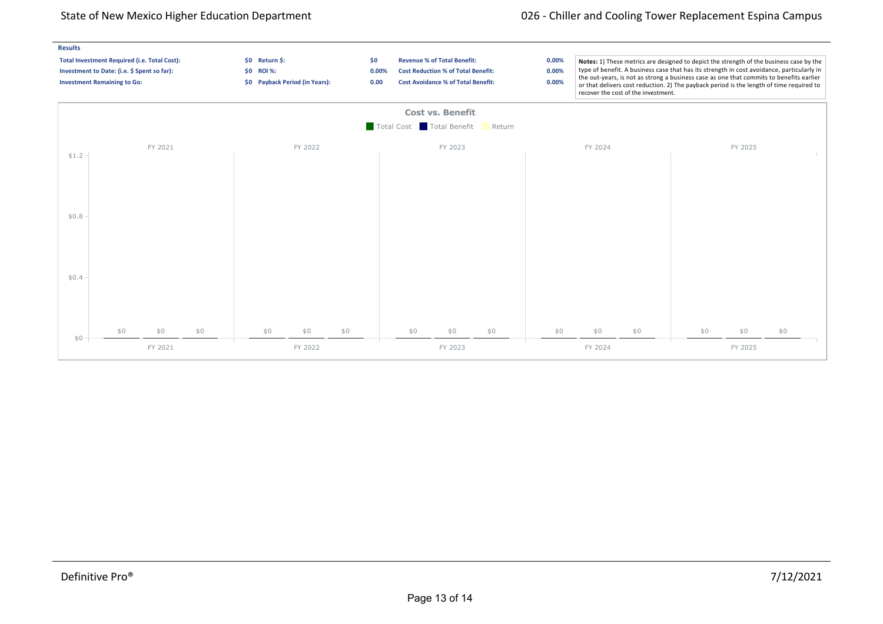## State of New Mexico Higher Education Department 026 chiller and Cooling Tower Replacement Espina Campus